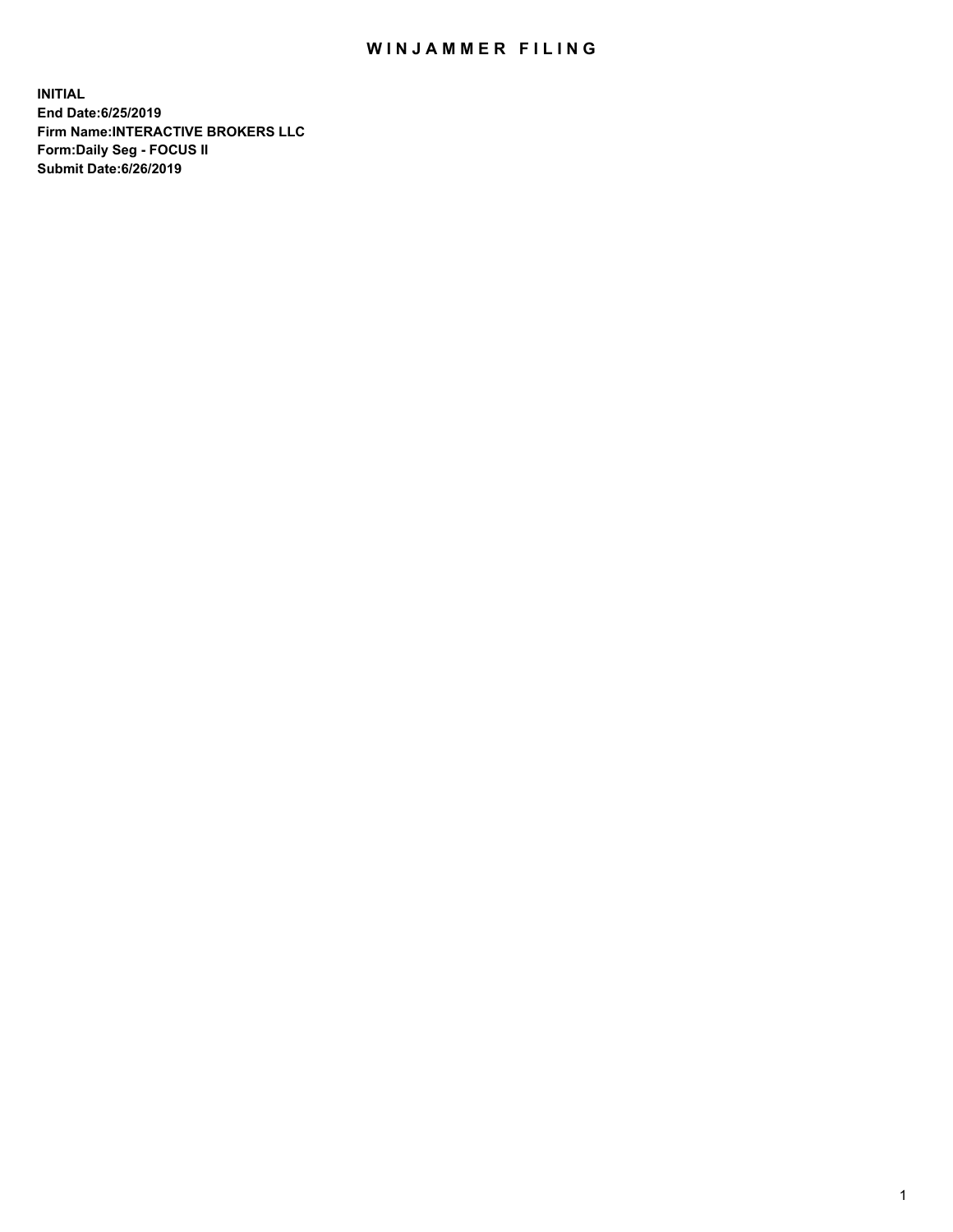## WIN JAMMER FILING

**INITIAL End Date:6/25/2019 Firm Name:INTERACTIVE BROKERS LLC Form:Daily Seg - FOCUS II Submit Date:6/26/2019**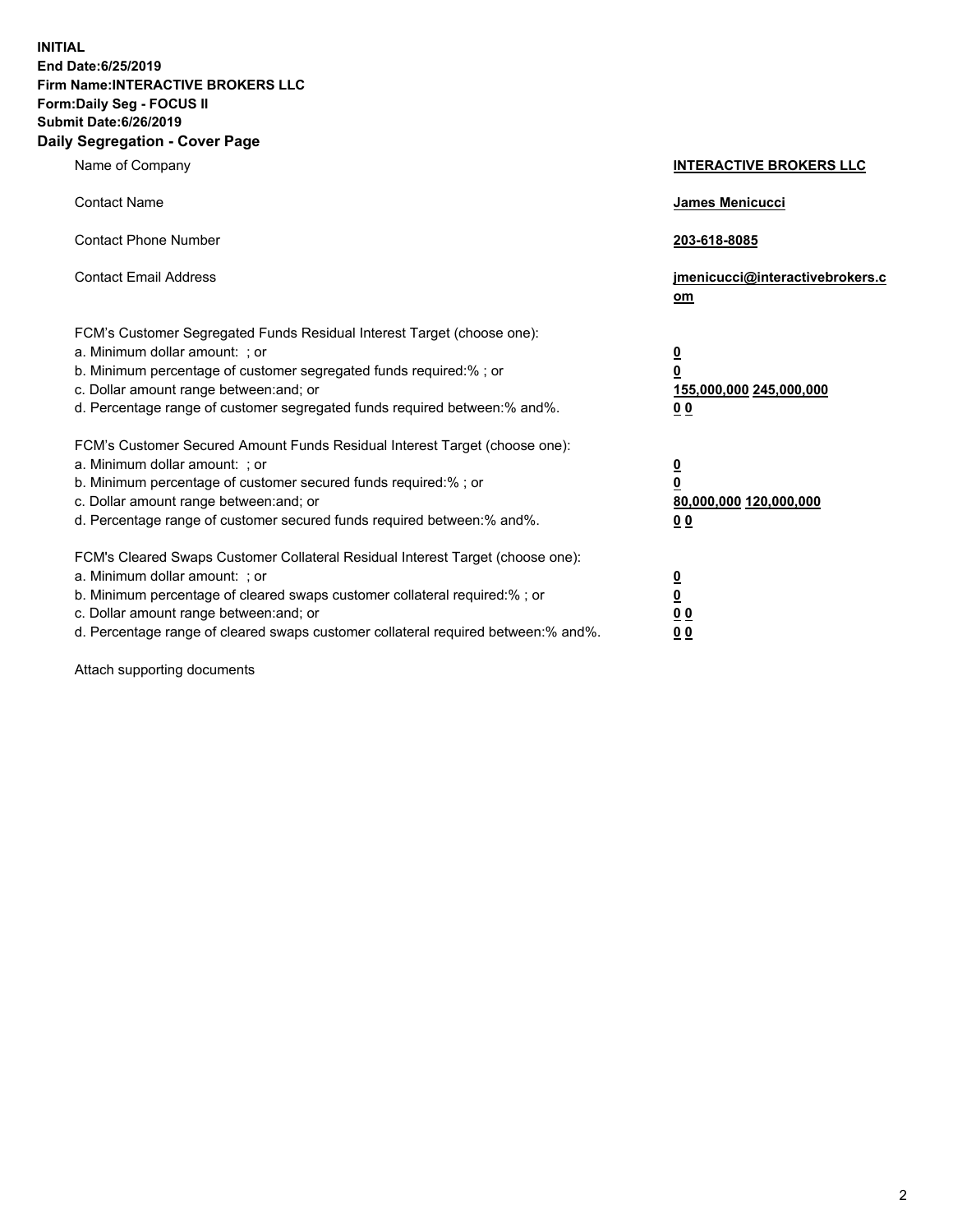**INITIAL End Date:6/25/2019 Firm Name:INTERACTIVE BROKERS LLC Form:Daily Seg - FOCUS II Submit Date:6/26/2019 Daily Segregation - Cover Page**

| Name of Company                                                                                                                                                                                                                                                                                                                | <b>INTERACTIVE BROKERS LLC</b>                                                                  |
|--------------------------------------------------------------------------------------------------------------------------------------------------------------------------------------------------------------------------------------------------------------------------------------------------------------------------------|-------------------------------------------------------------------------------------------------|
| <b>Contact Name</b>                                                                                                                                                                                                                                                                                                            | <b>James Menicucci</b>                                                                          |
| <b>Contact Phone Number</b>                                                                                                                                                                                                                                                                                                    | 203-618-8085                                                                                    |
| <b>Contact Email Address</b>                                                                                                                                                                                                                                                                                                   | jmenicucci@interactivebrokers.c<br>$om$                                                         |
| FCM's Customer Segregated Funds Residual Interest Target (choose one):<br>a. Minimum dollar amount: ; or<br>b. Minimum percentage of customer segregated funds required:% ; or<br>c. Dollar amount range between: and; or<br>d. Percentage range of customer segregated funds required between:% and%.                         | $\overline{\mathbf{0}}$<br>$\overline{\mathbf{0}}$<br>155,000,000 245,000,000<br>0 <sub>0</sub> |
| FCM's Customer Secured Amount Funds Residual Interest Target (choose one):<br>a. Minimum dollar amount: ; or<br>b. Minimum percentage of customer secured funds required:%; or<br>c. Dollar amount range between: and; or<br>d. Percentage range of customer secured funds required between:% and%.                            | $\overline{\mathbf{0}}$<br>$\overline{\mathbf{0}}$<br>80,000,000 120,000,000<br>0 <sub>0</sub>  |
| FCM's Cleared Swaps Customer Collateral Residual Interest Target (choose one):<br>a. Minimum dollar amount: ; or<br>b. Minimum percentage of cleared swaps customer collateral required:% ; or<br>c. Dollar amount range between: and; or<br>d. Percentage range of cleared swaps customer collateral required between:% and%. | $\overline{\mathbf{0}}$<br>$\underline{\mathbf{0}}$<br>0 <sub>0</sub><br>00                     |

Attach supporting documents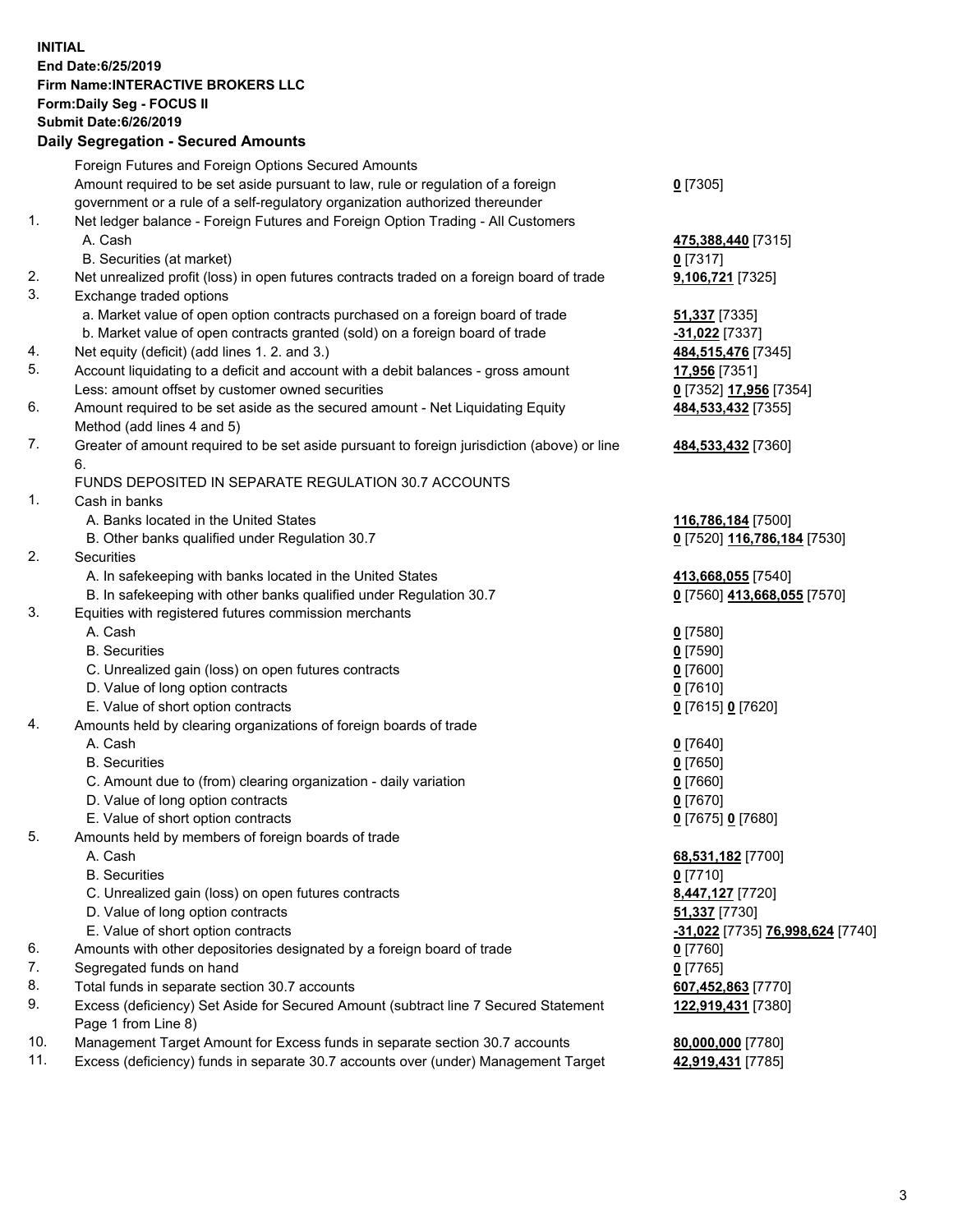## **INITIAL End Date:6/25/2019 Firm Name:INTERACTIVE BROKERS LLC Form:Daily Seg - FOCUS II Submit Date:6/26/2019 Daily Segregation - Secured Amounts**

|                | Dany Segregation - Secured Announts                                                                        |                                                   |
|----------------|------------------------------------------------------------------------------------------------------------|---------------------------------------------------|
|                | Foreign Futures and Foreign Options Secured Amounts                                                        |                                                   |
|                | Amount required to be set aside pursuant to law, rule or regulation of a foreign                           | $0$ [7305]                                        |
|                | government or a rule of a self-regulatory organization authorized thereunder                               |                                                   |
| $\mathbf{1}$ . | Net ledger balance - Foreign Futures and Foreign Option Trading - All Customers                            |                                                   |
|                | A. Cash                                                                                                    | 475,388,440 [7315]                                |
|                | B. Securities (at market)                                                                                  | $0$ [7317]                                        |
| 2.             | Net unrealized profit (loss) in open futures contracts traded on a foreign board of trade                  | 9,106,721 [7325]                                  |
| 3.             | Exchange traded options                                                                                    |                                                   |
|                | a. Market value of open option contracts purchased on a foreign board of trade                             | <b>51,337</b> [7335]                              |
|                | b. Market value of open contracts granted (sold) on a foreign board of trade                               | -31,022 [7337]                                    |
| 4.             | Net equity (deficit) (add lines 1. 2. and 3.)                                                              | 484,515,476 [7345]                                |
| 5.             | Account liquidating to a deficit and account with a debit balances - gross amount                          | 17,956 [7351]                                     |
|                | Less: amount offset by customer owned securities                                                           | 0 [7352] 17,956 [7354]                            |
| 6.             | Amount required to be set aside as the secured amount - Net Liquidating Equity                             | 484,533,432 [7355]                                |
|                | Method (add lines 4 and 5)                                                                                 |                                                   |
| 7.             | Greater of amount required to be set aside pursuant to foreign jurisdiction (above) or line                | 484,533,432 [7360]                                |
|                | 6.                                                                                                         |                                                   |
|                | FUNDS DEPOSITED IN SEPARATE REGULATION 30.7 ACCOUNTS                                                       |                                                   |
| 1.             | Cash in banks                                                                                              |                                                   |
|                | A. Banks located in the United States                                                                      | 116,786,184 [7500]                                |
| 2.             | B. Other banks qualified under Regulation 30.7<br><b>Securities</b>                                        | 0 [7520] 116,786,184 [7530]                       |
|                | A. In safekeeping with banks located in the United States                                                  |                                                   |
|                | B. In safekeeping with other banks qualified under Regulation 30.7                                         | 413,668,055 [7540]<br>0 [7560] 413,668,055 [7570] |
| 3.             | Equities with registered futures commission merchants                                                      |                                                   |
|                | A. Cash                                                                                                    | $0$ [7580]                                        |
|                | <b>B.</b> Securities                                                                                       | $0$ [7590]                                        |
|                | C. Unrealized gain (loss) on open futures contracts                                                        | $0$ [7600]                                        |
|                | D. Value of long option contracts                                                                          | $0$ [7610]                                        |
|                | E. Value of short option contracts                                                                         | 0 [7615] 0 [7620]                                 |
| 4.             | Amounts held by clearing organizations of foreign boards of trade                                          |                                                   |
|                | A. Cash                                                                                                    | $0$ [7640]                                        |
|                | <b>B.</b> Securities                                                                                       | $0$ [7650]                                        |
|                | C. Amount due to (from) clearing organization - daily variation                                            | $0$ [7660]                                        |
|                | D. Value of long option contracts                                                                          | $0$ [7670]                                        |
|                | E. Value of short option contracts                                                                         | 0 [7675] 0 [7680]                                 |
| 5.             | Amounts held by members of foreign boards of trade                                                         |                                                   |
|                | A. Cash                                                                                                    | 68,531,182 [7700]                                 |
|                | <b>B.</b> Securities                                                                                       | $0$ [7710]                                        |
|                | C. Unrealized gain (loss) on open futures contracts                                                        | 8,447,127 [7720]                                  |
|                | D. Value of long option contracts                                                                          | <b>51,337</b> [7730]                              |
|                | E. Value of short option contracts                                                                         | -31,022 [7735] 76,998,624 [7740]                  |
| 6.             | Amounts with other depositories designated by a foreign board of trade                                     | 0 [7760]                                          |
| 7.             | Segregated funds on hand                                                                                   | $0$ [7765]                                        |
| 8.             | Total funds in separate section 30.7 accounts                                                              | 607,452,863 [7770]                                |
| 9.             | Excess (deficiency) Set Aside for Secured Amount (subtract line 7 Secured Statement<br>Page 1 from Line 8) | 122,919,431 [7380]                                |
| 10.            | Management Target Amount for Excess funds in separate section 30.7 accounts                                | 80,000,000 [7780]                                 |
| 11.            | Excess (deficiency) funds in separate 30.7 accounts over (under) Management Target                         | 42,919,431 [7785]                                 |
|                |                                                                                                            |                                                   |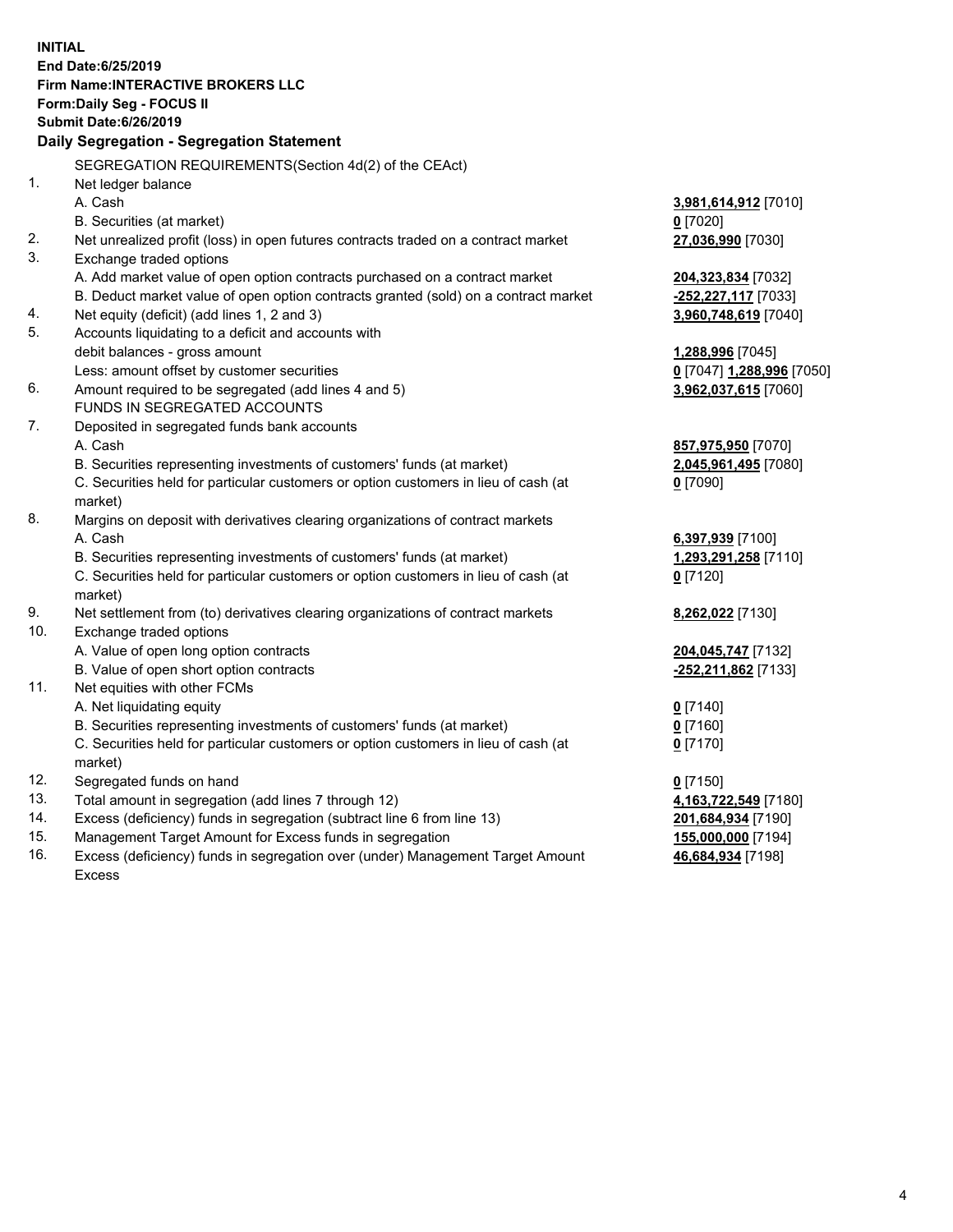**INITIAL End Date:6/25/2019 Firm Name:INTERACTIVE BROKERS LLC Form:Daily Seg - FOCUS II Submit Date:6/26/2019 Daily Segregation - Segregation Statement** SEGREGATION REQUIREMENTS(Section 4d(2) of the CEAct) 1. Net ledger balance A. Cash **3,981,614,912** [7010] B. Securities (at market) **0** [7020] 2. Net unrealized profit (loss) in open futures contracts traded on a contract market **27,036,990** [7030] 3. Exchange traded options A. Add market value of open option contracts purchased on a contract market **204,323,834** [7032] B. Deduct market value of open option contracts granted (sold) on a contract market **-252,227,117** [7033] 4. Net equity (deficit) (add lines 1, 2 and 3) **3,960,748,619** [7040] 5. Accounts liquidating to a deficit and accounts with debit balances - gross amount **1,288,996** [7045] Less: amount offset by customer securities **0** [7047] **1,288,996** [7050] 6. Amount required to be segregated (add lines 4 and 5) **3,962,037,615** [7060] FUNDS IN SEGREGATED ACCOUNTS 7. Deposited in segregated funds bank accounts A. Cash **857,975,950** [7070] B. Securities representing investments of customers' funds (at market) **2,045,961,495** [7080] C. Securities held for particular customers or option customers in lieu of cash (at market) **0** [7090] 8. Margins on deposit with derivatives clearing organizations of contract markets A. Cash **6,397,939** [7100] B. Securities representing investments of customers' funds (at market) **1,293,291,258** [7110] C. Securities held for particular customers or option customers in lieu of cash (at market) **0** [7120] 9. Net settlement from (to) derivatives clearing organizations of contract markets **8,262,022** [7130] 10. Exchange traded options A. Value of open long option contracts **204,045,747** [7132] B. Value of open short option contracts **-252,211,862** [7133] 11. Net equities with other FCMs A. Net liquidating equity **0** [7140] B. Securities representing investments of customers' funds (at market) **0** [7160] C. Securities held for particular customers or option customers in lieu of cash (at market) **0** [7170] 12. Segregated funds on hand **0** [7150] 13. Total amount in segregation (add lines 7 through 12) **4,163,722,549** [7180] 14. Excess (deficiency) funds in segregation (subtract line 6 from line 13) **201,684,934** [7190] 15. Management Target Amount for Excess funds in segregation **155,000,000** [7194]

16. Excess (deficiency) funds in segregation over (under) Management Target Amount Excess

**46,684,934** [7198]